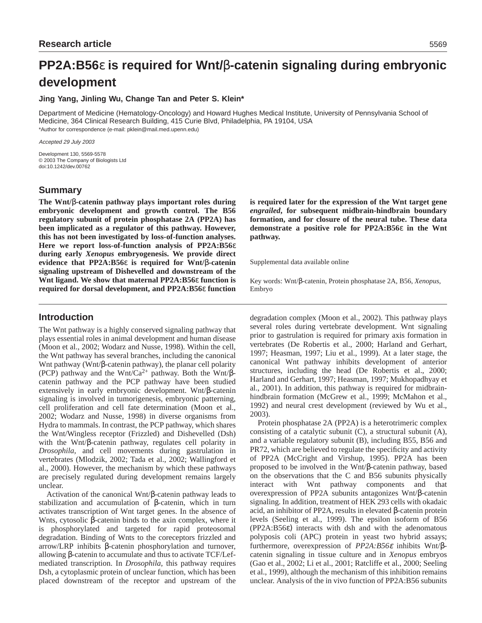# **PP2A:B56**ε **is required for Wnt/**β**-catenin signaling during embryonic development**

## **Jing Yang, Jinling Wu, Change Tan and Peter S. Klein\***

Department of Medicine (Hematology-Oncology) and Howard Hughes Medical Institute, University of Pennsylvania School of Medicine, 364 Clinical Research Building, 415 Curie Blvd, Philadelphia, PA 19104, USA \*Author for correspondence (e-mail: pklein@mail.med.upenn.edu)

Accepted 29 July 2003

Development 130, 5569-5578 © 2003 The Company of Biologists Ltd doi:10.1242/dev.00762

# **Summary**

**The Wnt/**β**-catenin pathway plays important roles during embryonic development and growth control. The B56 regulatory subunit of protein phosphatase 2A (PP2A) has been implicated as a regulator of this pathway. However, this has not been investigated by loss-of-function analyses. Here we report loss-of-function analysis of PP2A:B56**ε **during early** *Xenopus* **embryogenesis. We provide direct evidence that PP2A:B56**ε **is required for Wnt/**β**-catenin signaling upstream of Dishevelled and downstream of the Wnt ligand. We show that maternal PP2A:B56**ε **function is required for dorsal development, and PP2A:B56**ε **function**

# **Introduction**

The Wnt pathway is a highly conserved signaling pathway that plays essential roles in animal development and human disease (Moon et al., 2002; Wodarz and Nusse, 1998). Within the cell, the Wnt pathway has several branches, including the canonical Wnt pathway (Wnt/β-catenin pathway), the planar cell polarity (PCP) pathway and the Wnt/Ca<sup>2+</sup> pathway. Both the Wnt/ $\beta$ catenin pathway and the PCP pathway have been studied extensively in early embryonic development. Wnt/β-catenin signaling is involved in tumorigenesis, embryonic patterning, cell proliferation and cell fate determination (Moon et al., 2002; Wodarz and Nusse, 1998) in diverse organisms from Hydra to mammals. In contrast, the PCP pathway, which shares the Wnt/Wingless receptor (Frizzled) and Dishevelled (Dsh) with the Wnt/β-catenin pathway, regulates cell polarity in *Drosophila*, and cell movements during gastrulation in vertebrates (Mlodzik, 2002; Tada et al., 2002; Wallingford et al., 2000). However, the mechanism by which these pathways are precisely regulated during development remains largely unclear.

Activation of the canonical Wnt/β-catenin pathway leads to stabilization and accumulation of β-catenin, which in turn activates transcription of Wnt target genes. In the absence of Wnts, cytosolic β-catenin binds to the axin complex, where it is phosphorylated and targeted for rapid proteosomal degradation. Binding of Wnts to the coreceptors frizzled and arrow/LRP inhibits β-catenin phosphorylation and turnover, allowing β-catenin to accumulate and thus to activate TCF/Lefmediated transcription. In *Drosophila*, this pathway requires Dsh, a cytoplasmic protein of unclear function, which has been placed downstream of the receptor and upstream of the

**is required later for the expression of the Wnt target gene** *engrailed***, for subsequent midbrain-hindbrain boundary formation, and for closure of the neural tube. These data demonstrate a positive role for PP2A:B56**ε **in the Wnt pathway.**

Supplemental data available online

Key words: Wnt/β-catenin, Protein phosphatase 2A, B56, *Xenopus*, Embryo

degradation complex (Moon et al., 2002). This pathway plays several roles during vertebrate development. Wnt signaling prior to gastrulation is required for primary axis formation in vertebrates (De Robertis et al., 2000; Harland and Gerhart, 1997; Heasman, 1997; Liu et al., 1999). At a later stage, the canonical Wnt pathway inhibits development of anterior structures, including the head (De Robertis et al., 2000; Harland and Gerhart, 1997; Heasman, 1997; Mukhopadhyay et al., 2001). In addition, this pathway is required for midbrainhindbrain formation (McGrew et al., 1999; McMahon et al., 1992) and neural crest development (reviewed by Wu et al., 2003).

Protein phosphatase 2A (PP2A) is a heterotrimeric complex consisting of a catalytic subunit (C), a structural subunit (A), and a variable regulatory subunit (B), including B55, B56 and PR72, which are believed to regulate the specificity and activity of PP2A (McCright and Virshup, 1995). PP2A has been proposed to be involved in the Wnt/β-catenin pathway, based on the observations that the C and B56 subunits physically interact with Wnt pathway components and that overexpression of PP2A subunits antagonizes Wnt/β-catenin signaling. In addition, treatment of HEK 293 cells with okadaic acid, an inhibitor of PP2A, results in elevated β-catenin protein levels (Seeling et al., 1999). The epsilon isoform of B56 (PP2A:B56ε) interacts with dsh and with the adenomatous polyposis coli (APC) protein in yeast two hybrid assays; furthermore, overexpression of *PP2A:B56*<sup>ε</sup> inhibits Wnt/βcatenin signaling in tissue culture and in *Xenopus* embryos (Gao et al., 2002; Li et al., 2001; Ratcliffe et al., 2000; Seeling et al., 1999), although the mechanism of this inhibition remains unclear. Analysis of the in vivo function of PP2A:B56 subunits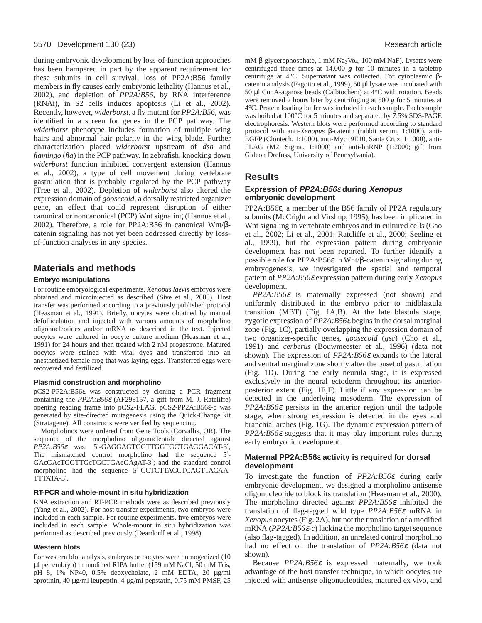#### 5570 Development 130 (23) Research article

during embryonic development by loss-of-function approaches has been hampered in part by the apparent requirement for these subunits in cell survival; loss of PP2A:B56 family members in fly causes early embryonic lethality (Hannus et al., 2002), and depletion of *PP2A:B56,* by RNA interference (RNAi), in S2 cells induces apoptosis (Li et al., 2002). Recently, however, *widerborst*, a fly mutant for *PP2A:B56*, was identified in a screen for genes in the PCP pathway. The *widerborst* phenotype includes formation of multiple wing hairs and abnormal hair polarity in the wing blade. Further characterization placed *widerborst* upstream of *dsh* and *flamingo* (*fla*) in the PCP pathway. In zebrafish, knocking down *widerborst* function inhibited convergent extension (Hannus et al., 2002), a type of cell movement during vertebrate gastrulation that is probably regulated by the PCP pathway (Tree et al., 2002). Depletion of *widerborst* also altered the expression domain of *goosecoid*, a dorsally restricted organizer gene, an effect that could represent disruption of either canonical or noncanonical (PCP) Wnt signaling (Hannus et al., 2002). Therefore, a role for PP2A:B56 in canonical Wnt/βcatenin signaling has not yet been addressed directly by lossof-function analyses in any species.

# **Materials and methods**

#### **Embryo manipulations**

For routine embryological experiments, *Xenopus laevis* embryos were obtained and microinjected as described (Sive et al., 2000). Host transfer was performed according to a previously published protocol (Heasman et al., 1991). Briefly, oocytes were obtained by manual defolliculation and injected with various amounts of morpholino oligonucleotides and/or mRNA as described in the text. Injected oocytes were cultured in oocyte culture medium (Heasman et al., 1991) for 24 hours and then treated with 2 nM progestrone. Matured oocytes were stained with vital dyes and transferred into an anesthetized female frog that was laying eggs. Transferred eggs were recovered and fertilized.

#### **Plasmid construction and morpholino**

pCS2-PP2A:B56ε was constructed by cloning a PCR fragment containing the *PP2A:B56*<sup>ε</sup> (AF298157, a gift from M. J. Ratcliffe) opening reading frame into pCS2-FLAG. pCS2-PP2A:B56ε-c was generated by site-directed mutagenesis using the Quick-Change kit (Stratagene). All constructs were verified by sequencing.

Morpholinos were ordered from Gene Tools (Corvallis, OR). The sequence of the morpholino oligonucleotide directed against *PP2A:B56*<sup>ε</sup> was: 5′-GAGGAGTGGTTGGTGCTGAGGACAT-3′; The mismatched control morpholino had the sequence 5<sup>'</sup>-GAcGAcTGGTTGcTGCTGAcGAgAT-3′; and the standard control morpholino had the sequence 5'-CCTCTTACCTCAGTTACAA-TTTATA-3′.

#### **RT-PCR and whole-mount in situ hybridization**

RNA extraction and RT-PCR methods were as described previously (Yang et al., 2002). For host transfer experiments, two embryos were included in each sample. For routine experiments, five embryos were included in each sample. Whole-mount in situ hybridization was performed as described previously (Deardorff et al., 1998).

#### **Western blots**

For western blot analysis, embryos or oocytes were homogenized (10 µl per embryo) in modified RIPA buffer (159 mM NaCl, 50 mM Tris, pH 8, 1% NP40, 0.5% deoxycholate, 2 mM EDTA, 20 µg/ml aprotinin, 40 µg/ml leupeptin, 4 µg/ml pepstatin, 0.75 mM PMSF, 25

mM β-glycerophosphate, 1 mM Na<sub>3</sub>Vo<sub>4</sub>, 100 mM NaF). Lysates were centrifuged three times at 14,000 *g* for 10 minutes in a tabletop centrifuge at 4°C. Supernatant was collected. For cytoplasmic βcatenin analysis (Fagotto et al., 1999), 50 µl lysate was incubated with 50 µl ConA-agarose beads (Calbiochem) at 4°C with rotation. Beads were removed 2 hours later by centrifuging at 500 *g* for 5 minutes at 4°C. Protein loading buffer was included in each sample. Each sample was boiled at 100°C for 5 minutes and separated by 7.5% SDS-PAGE electrophoresis. Western blots were performed according to standard protocol with anti-*Xenopus* β-catenin (rabbit serum, 1:1000), anti-EGFP (Clontech, 1:1000), anti-Myc (9E10, Santa Cruz, 1:1000), anti-FLAG (M2, Sigma, 1:1000) and anti-hnRNP (1:2000; gift from Gideon Drefuss, University of Pennsylvania).

# **Results**

# **Expression of PP2A:B56**<sup>ε</sup> **during Xenopus embryonic development**

PP2A:B56ε, a member of the B56 family of PP2A regulatory subunits (McCright and Virshup, 1995), has been implicated in Wnt signaling in vertebrate embryos and in cultured cells (Gao et al., 2002; Li et al., 2001; Ratcliffe et al., 2000; Seeling et al., 1999), but the expression pattern during embryonic development has not been reported. To further identify a possible role for PP2A:B56ε in Wnt/β-catenin signaling during embryogenesis, we investigated the spatial and temporal pattern of *PP2A:B56*<sup>ε</sup> expression pattern during early *Xenopus* development.

*PP2A:B56*<sup>ε</sup> is maternally expressed (not shown) and uniformly distributed in the embryo prior to midblastula transition (MBT) (Fig. 1A,B). At the late blastula stage, zygotic expression of *PP2A:B56*<sup>ε</sup> begins in the dorsal marginal zone (Fig. 1C), partially overlapping the expression domain of two organizer-specific genes, *goosecoid* (*gsc*) (Cho et al., 1991) and *cerberus* (Bouwmeester et al., 1996) (data not shown). The expression of *PP2A:B56*<sup>ε</sup> expands to the lateral and ventral marginal zone shortly after the onset of gastrulation (Fig. 1D). During the early neurula stage, it is expressed exclusively in the neural ectoderm throughout its anteriorposterior extent (Fig. 1E,F). Little if any expression can be detected in the underlying mesoderm. The expression of *PP2A:B56*<sup>ε</sup> persists in the anterior region until the tadpole stage, when strong expression is detected in the eyes and branchial arches (Fig. 1G). The dynamic expression pattern of *PP2A:B56*<sup>ε</sup> suggests that it may play important roles during early embryonic development.

## **Maternal PP2A:B56**ε **activity is required for dorsal development**

To investigate the function of *PP2A:B56*<sup>ε</sup> during early embryonic development, we designed a morpholino antisense oligonucleotide to block its translation (Heasman et al., 2000). The morpholino directed against *PP2A:B56*<sup>ε</sup> inhibited the translation of flag-tagged wild type *PP2A:B56*<sup>ε</sup> mRNA in *Xenopus* oocytes (Fig. 2A), but not the translation of a modified mRNA (*PP2A:B56*ε*-c*) lacking the morpholino target sequence (also flag-tagged). In addition, an unrelated control morpholino had no effect on the translation of *PP2A:B56*<sup>ε</sup> (data not shown).

Because *PP2A:B56*<sup>ε</sup> is expressed maternally, we took advantage of the host transfer technique, in which oocytes are injected with antisense oligonucleotides, matured ex vivo, and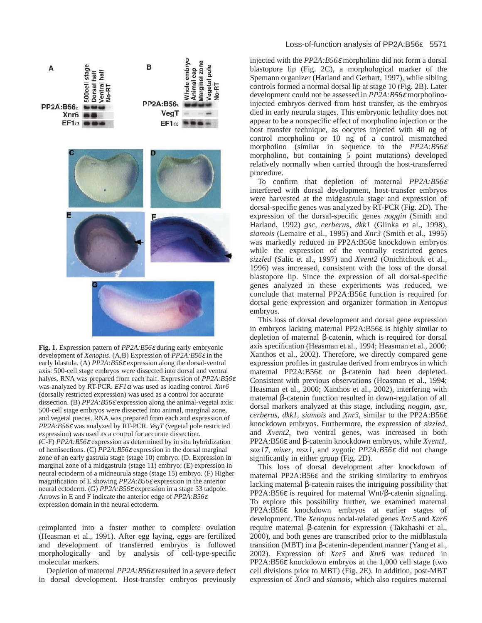

**Fig. 1.** Expression pattern of *PP2A:B56*<sup>ε</sup> during early embryonic development of *Xenopus*. (A,B) Expression of *PP2A:B56*<sup>ε</sup> in the early blastula. (A) *PP2A:B56*<sup>ε</sup> expression along the dorsal-ventral axis: 500-cell stage embryos were dissected into dorsal and ventral halves. RNA was prepared from each half. Expression of *PP2A:B56*<sup>ε</sup> was analyzed by RT-PCR. *EF1*<sup>α</sup> was used as loading control. *Xnr6* (dorsally restricted expression) was used as a control for accurate dissection. (B) *PP2A:B56*<sup>ε</sup> expression along the animal-vegetal axis: 500-cell stage embryos were dissected into animal, marginal zone, and vegetal pieces. RNA was prepared from each and expression of *PP2A:B56*<sup>ε</sup> was analyzed by RT-PCR. *VegT* (vegetal pole restricted expression) was used as a control for accurate dissection. (C-F) *PP2A:B56*<sup>ε</sup> expression as determined by in situ hybridization of hemisections. (C) *PP2A:B56*<sup>ε</sup> expression in the dorsal marginal zone of an early gastrula stage (stage 10) embryo. (D. Expression in marginal zone of a midgastrula (stage 11) embryo; (E) expression in neural ectoderm of a midneurula stage (stage 15) embryo. (F) Higher magnification of E showing *PP2A:B56*<sup>ε</sup> expression in the anterior neural ectoderm. (G) *PP2A:B56*<sup>ε</sup> expression in a stage 33 tadpole. Arrows in E and F indicate the anterior edge of *PP2A:B56*<sup>ε</sup> expression domain in the neural ectoderm.

reimplanted into a foster mother to complete ovulation (Heasman et al., 1991). After egg laying, eggs are fertilized and development of transferred embryos is followed morphologically and by analysis of cell-type-specific molecular markers.

Depletion of maternal *PP2A:B56*<sup>ε</sup> resulted in a severe defect in dorsal development. Host-transfer embryos previously

## Loss-of-function analysis of PP2A:B56ε 5571

injected with the *PP2A:B56*<sup>ε</sup> morpholino did not form a dorsal blastopore lip (Fig. 2C), a morphological marker of the Spemann organizer (Harland and Gerhart, 1997), while sibling controls formed a normal dorsal lip at stage 10 (Fig. 2B). Later development could not be assessed in *PP2A:B56*<sup>ε</sup> morpholinoinjected embryos derived from host transfer, as the embryos died in early neurula stages. This embryonic lethality does not appear to be a nonspecific effect of morpholino injection or the host transfer technique, as oocytes injected with 40 ng of control morpholino or 10 ng of a control mismatched morpholino (similar in sequence to the *PP2A:B56*<sup>ε</sup> morpholino, but containing 5 point mutations) developed relatively normally when carried through the host-transferred procedure.

To confirm that depletion of maternal *PP2A:B56*<sup>ε</sup> interfered with dorsal development, host-transfer embryos were harvested at the midgastrula stage and expression of dorsal-specific genes was analyzed by RT-PCR (Fig. 2D). The expression of the dorsal-specific genes *noggin* (Smith and Harland, 1992) *gsc*, *cerberus*, *dkk1* (Glinka et al., 1998), *siamois* (Lemaire et al., 1995) and *Xnr3* (Smith et al., 1995) was markedly reduced in PP2A:B56ε knockdown embryos while the expression of the ventrally restricted genes *sizzled* (Salic et al., 1997) and *Xvent2* (Onichtchouk et al., 1996) was increased, consistent with the loss of the dorsal blastopore lip. Since the expression of all dorsal-specific genes analyzed in these experiments was reduced, we conclude that maternal PP2A:B56ε function is required for dorsal gene expression and organizer formation in *Xenopus* embryos.

This loss of dorsal development and dorsal gene expression in embryos lacking maternal PP2A:B56ε is highly similar to depletion of maternal β-catenin, which is required for dorsal axis specification (Heasman et al., 1994; Heasman et al., 2000; Xanthos et al., 2002). Therefore, we directly compared gene expression profiles in gastrulae derived from embryos in which maternal PP2A:B56ε or β-catenin had been depleted. Consistent with previous observations (Heasman et al., 1994; Heasman et al., 2000; Xanthos et al., 2002), interfering with maternal β-catenin function resulted in down-regulation of all dorsal markers analyzed at this stage, including *noggin*, *gsc*, *cerberus*, *dkk1*, *siamois* and *Xnr3*, similar to the PP2A:B56ε knockdown embryos. Furthermore, the expression of *sizzled*, and *Xvent2*, two ventral genes, was increased in both PP2A:B56ε and β-catenin knockdown embryos, while *Xvent1*, *sox17*, *mixer*, *msx1*, and zygotic *PP2A:B56*<sup>ε</sup> did not change significantly in either group (Fig. 2D).

This loss of dorsal development after knockdown of maternal PP2A:B56ε and the striking similarity to embryos lacking maternal β-catenin raises the intriguing possibility that PP2A:B56ε is required for maternal Wnt/β-catenin signaling. To explore this possibility further, we examined maternal PP2A:B56ε knockdown embryos at earlier stages of development. The *Xenopus* nodal-related genes *Xnr5* and *Xnr6* require maternal β-catenin for expression (Takahashi et al., 2000), and both genes are transcribed prior to the midblastula transition (MBT) in a β-catenin-dependent manner (Yang et al., 2002). Expression of *Xnr5* and *Xnr6* was reduced in PP2A:B56ε knockdown embryos at the 1,000 cell stage (two cell divisions prior to MBT) (Fig. 2E). In addition, post-MBT expression of *Xnr3* and *siamois*, which also requires maternal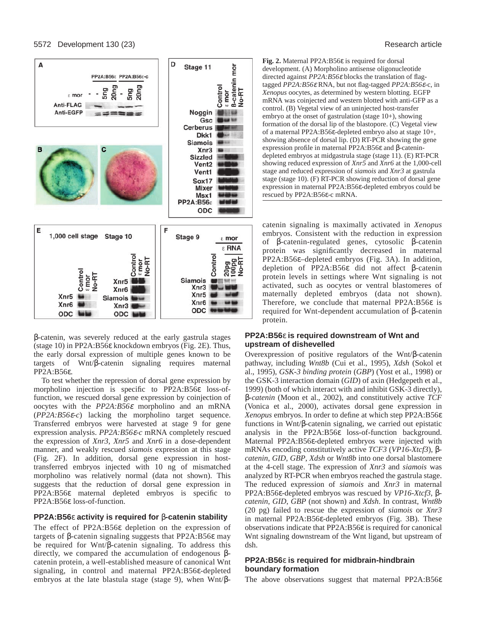

β-catenin, was severely reduced at the early gastrula stages (stage 10) in PP2A:B56ε knockdown embryos (Fig. 2E). Thus, the early dorsal expression of multiple genes known to be targets of Wnt/β-catenin signaling requires maternal PP2A:B56ε.

To test whether the repression of dorsal gene expression by morpholino injection is specific to PP2A:B56ε loss-offunction, we rescued dorsal gene expression by coinjection of oocytes with the *PP2A:B56*<sup>ε</sup> morpholino and an mRNA (*PP2A:B56*ε*-c*) lacking the morpholino target sequence. Transferred embryos were harvested at stage 9 for gene expression analysis. *PP2A:B56*ε*-c* mRNA completely rescued the expression of *Xnr3*, *Xnr5* and *Xnr6* in a dose-dependent manner, and weakly rescued *siamois* expression at this stage (Fig. 2F). In addition, dorsal gene expression in hosttransferred embryos injected with 10 ng of mismatched morpholino was relatively normal (data not shown). This suggests that the reduction of dorsal gene expression in PP2A:B56ε maternal depleted embryos is specific to PP2A:B56ε loss-of-function.

## **PP2A:B56**ε **activity is required for** β**-catenin stability**

The effect of PP2A:B56ε depletion on the expression of targets of β-catenin signaling suggests that PP2A:B56ε may be required for Wnt/β-catenin signaling. To address this directly, we compared the accumulation of endogenous βcatenin protein, a well-established measure of canonical Wnt signaling, in control and maternal PP2A:B56ε-depleted embryos at the late blastula stage (stage 9), when Wnt/β-

**Fig. 2.** Maternal PP2A:B56ε is required for dorsal development. (A) Morpholino antisense oligonucleotide directed against *PP2A:B56*<sup>ε</sup> blocks the translation of flagtagged *PP2A:B56*<sup>ε</sup> RNA, but not flag-tagged *PP2A:B56*ε-c, in *Xenopus* oocytes, as determined by western blotting. EGFP mRNA was coinjected and western blotted with anti-GFP as a control. (B) Vegetal view of an uninjected host-transfer embryo at the onset of gastrulation (stage 10+), showing formation of the dorsal lip of the blastopore. (C) Vegetal view of a maternal PP2A:B56ε-depleted embryo also at stage 10+, showing absence of dorsal lip. (D) RT-PCR showing the gene expression profile in maternal PP2A:B56ε and β-catenindepleted embryos at midgastrula stage (stage 11). (E) RT-PCR showing reduced expression of *Xnr5* and *Xnr6* at the 1,000-cell stage and reduced expression of *siamois* and *Xnr3* at gastrula stage (stage 10). (F) RT-PCR showing reduction of dorsal gene expression in maternal PP2A:B56ε-depleted embryos could be rescued by PP2A:B56ε-c mRNA.

catenin signaling is maximally activated in *Xenopus* embryos. Consistent with the reduction in expression of β-catenin-regulated genes, cytosolic β-catenin protein was significantly decreased in maternal PP2A:B56ε–depleted embryos (Fig. 3A). In addition, depletion of PP2A:B56ε did not affect β-catenin protein levels in settings where Wnt signaling is not activated, such as oocytes or ventral blastomeres of maternally depleted embryos (data not shown). Therefore, we conclude that maternal PP2A:B56ε is required for Wnt-dependent accumulation of β-catenin protein.

## **PP2A:B56**ε **is required downstream of Wnt and upstream of dishevelled**

Overexpression of positive regulators of the Wnt/β-catenin pathway, including *Wnt8b* (Cui et al., 1995), *Xdsh* (Sokol et al., 1995), *GSK-3 binding protein* (*GBP*) (Yost et al., 1998) or the GSK-3 interaction domain (*GID*) of axin (Hedgepeth et al., 1999) (both of which interact with and inhibit GSK-3 directly), β*-catenin* (Moon et al., 2002), and constitutively active *TCF* (Vonica et al., 2000), activates dorsal gene expression in *Xenopus* embryos. In order to define at which step PP2A:B56ε functions in Wnt/β-catenin signaling, we carried out epistatic analysis in the PP2A:B56ε loss-of-function background. Maternal PP2A:B56ε-depleted embryos were injected with mRNAs encoding constitutively active *TCF3* (*VP16-Xtcf3*), β*catenin*, *GID*, *GBP*, *Xdsh* or *Wnt8b* into one dorsal blastomere at the 4-cell stage. The expression of *Xnr3* and *siamois* was analyzed by RT-PCR when embryos reached the gastrula stage. The reduced expression of *siamois* and *Xnr3* in maternal PP2A:B56ε-depleted embryos was rescued by *VP16-Xtcf3*, β*catenin*, *GID*, *GBP* (not shown) and *Xdsh*. In contrast, *Wnt8b* (20 pg) failed to rescue the expression of *siamois* or *Xnr3* in maternal PP2A:B56ε-depleted embryos (Fig. 3B). These observations indicate that PP2A:B56ε is required for canonical Wnt signaling downstream of the Wnt ligand, but upstream of dsh.

## **PP2A:B56**ε **is required for midbrain-hindbrain boundary formation**

The above observations suggest that maternal PP2A:B56ε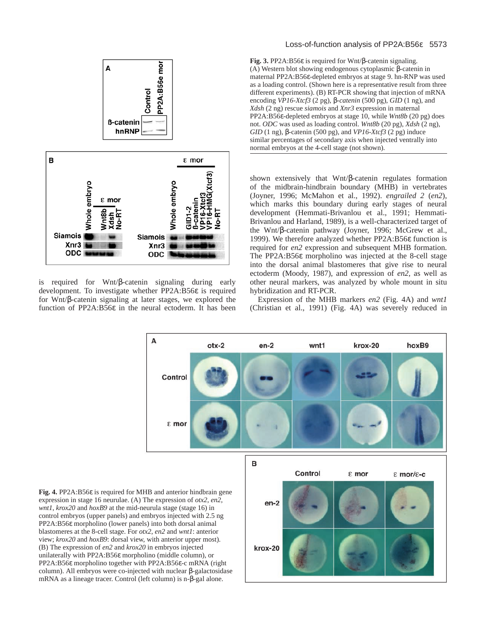

is required for Wnt/β-catenin signaling during early development. To investigate whether PP2A:B56ε is required for Wnt/β-catenin signaling at later stages, we explored the function of PP2A:B56ε in the neural ectoderm. It has been

# Loss-of-function analysis of PP2A:B56ε 5573

**Fig. 3.** PP2A:B56ε is required for Wnt/β-catenin signaling. (A) Western blot showing endogenous cytoplasmic β-catenin in maternal PP2A:B56ε-depleted embryos at stage 9. hn-RNP was used as a loading control. (Shown here is a representative result from three different experiments). (B) RT-PCR showing that injection of mRNA encoding *VP16-Xtcf3* (2 pg)*,* β*-catenin* (500 pg), *GID* (1 ng), and *Xdsh* (2 ng) rescue *siamois* and *Xnr3* expression in maternal PP2A:B56ε-depleted embryos at stage 10, while *Wnt8b* (20 pg) does not. *ODC* was used as loading control. *Wnt8b* (20 pg), *Xdsh* (2 ng), *GID* (1 ng), β-catenin (500 pg), and *VP16-Xtcf3* (2 pg) induce similar percentages of secondary axis when injected ventrally into normal embryos at the 4-cell stage (not shown).

shown extensively that Wnt/β-catenin regulates formation of the midbrain-hindbrain boundary (MHB) in vertebrates (Joyner, 1996; McMahon et al., 1992). *engrailed 2* (*en2*), which marks this boundary during early stages of neural development (Hemmati-Brivanlou et al., 1991; Hemmati-Brivanlou and Harland, 1989), is a well-characterized target of the Wnt/β-catenin pathway (Joyner, 1996; McGrew et al., 1999). We therefore analyzed whether PP2A:B56ε function is required for *en2* expression and subsequent MHB formation. The PP2A:B56ε morpholino was injected at the 8-cell stage into the dorsal animal blastomeres that give rise to neural ectoderm (Moody, 1987), and expression of *en2*, as well as other neural markers, was analyzed by whole mount in situ hybridization and RT-PCR.

Expression of the MHB markers *en2* (Fig. 4A) and *wnt1* (Christian et al., 1991) (Fig. 4A) was severely reduced in

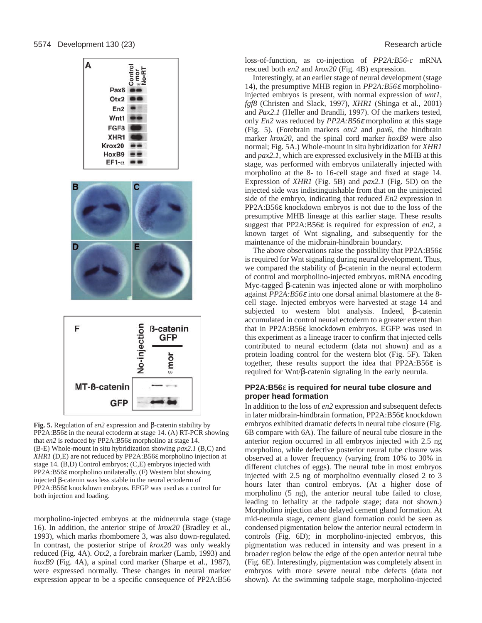



**Fig. 5.** Regulation of *en2* expression and β-catenin stability by PP2A:B56ε in the neural ectoderm at stage 14. (A) RT-PCR showing that *en2* is reduced by PP2A:B56ε morpholino at stage 14. (B-E) Whole-mount in situ hybridization showing *pax2.1* (B,C) and *XHR1* (D,E) are not reduced by PP2A:B56ε morpholino injection at stage 14. (B,D) Control embryos; (C,E) embryos injected with PP2A:B56ε morpholino unilaterally. (F) Western blot showing injected β-catenin was less stable in the neural ectoderm of PP2A:B56ε knockdown embryos. EFGP was used as a control for both injection and loading.

morpholino-injected embryos at the midneurula stage (stage 16). In addition, the anterior stripe of *krox20* (Bradley et al., 1993), which marks rhombomere 3, was also down-regulated. In contrast, the posterior stripe of *krox20* was only weakly reduced (Fig. 4A). *Otx2*, a forebrain marker (Lamb, 1993) and *hoxB9* (Fig. 4A), a spinal cord marker (Sharpe et al., 1987), were expressed normally. These changes in neural marker expression appear to be a specific consequence of PP2A:B56 loss-of-function, as co-injection of *PP2A:B56-c* mRNA rescued both *en2* and *krox20* (Fig. 4B) expression.

Interestingly, at an earlier stage of neural development (stage 14), the presumptive MHB region in *PP2A:B56*<sup>ε</sup> morpholinoinjected embryos is present, with normal expression of *wnt1*, *fgf8* (Christen and Slack, 1997), *XHR1* (Shinga et al., 2001) and *Pax2.1* (Heller and Brandli, 1997). Of the markers tested, only *En2* was reduced by *PP2A:B56*<sup>ε</sup> morpholino at this stage (Fig. 5). (Forebrain markers *otx2* and *pax6*, the hindbrain marker *krox20*, and the spinal cord marker *hoxB9* were also normal; Fig. 5A.) Whole-mount in situ hybridization for *XHR1* and *pax2.1*, which are expressed exclusively in the MHB at this stage, was performed with embryos unilaterally injected with morpholino at the 8- to 16-cell stage and fixed at stage 14. Expression of *XHR1* (Fig. 5B) and *pax2.1* (Fig. 5D) on the injected side was indistinguishable from that on the uninjected side of the embryo, indicating that reduced *En2* expression in PP2A:B56ε knockdown embryos is not due to the loss of the presumptive MHB lineage at this earlier stage. These results suggest that PP2A:B56ε is required for expression of *en2*, a known target of Wnt signaling, and subsequently for the maintenance of the midbrain-hindbrain boundary.

The above observations raise the possibility that PP2A:B56ε is required for Wnt signaling during neural development. Thus, we compared the stability of β-catenin in the neural ectoderm of control and morpholino-injected embryos. mRNA encoding Myc-tagged β-catenin was injected alone or with morpholino against *PP2A:B56*<sup>ε</sup> into one dorsal animal blastomere at the 8 cell stage. Injected embryos were harvested at stage 14 and subjected to western blot analysis. Indeed, β-catenin accumulated in control neural ectoderm to a greater extent than that in PP2A:B56ε knockdown embryos. EGFP was used in this experiment as a lineage tracer to confirm that injected cells contributed to neural ectoderm (data not shown) and as a protein loading control for the western blot (Fig. 5F). Taken together, these results support the idea that PP2A:B56ε is required for Wnt/β-catenin signaling in the early neurula.

#### **PP2A:B56**ε **is required for neural tube closure and proper head formation**

In addition to the loss of *en2* expression and subsequent defects in later midbrain-hindbrain formation, PP2A:B56ε knockdown embryos exhibited dramatic defects in neural tube closure (Fig. 6B compare with 6A). The failure of neural tube closure in the anterior region occurred in all embryos injected with 2.5 ng morpholino, while defective posterior neural tube closure was observed at a lower frequency (varying from 10% to 30% in different clutches of eggs). The neural tube in most embryos injected with 2.5 ng of morpholino eventually closed 2 to 3 hours later than control embryos. (At a higher dose of morpholino (5 ng), the anterior neural tube failed to close, leading to lethality at the tadpole stage; data not shown.) Morpholino injection also delayed cement gland formation. At mid-neurula stage, cement gland formation could be seen as condensed pigmentation below the anterior neural ectoderm in controls (Fig. 6D); in morpholino-injected embryos, this pigmentation was reduced in intensity and was present in a broader region below the edge of the open anterior neural tube (Fig. 6E). Interestingly, pigmentation was completely absent in embryos with more severe neural tube defects (data not shown). At the swimming tadpole stage, morpholino-injected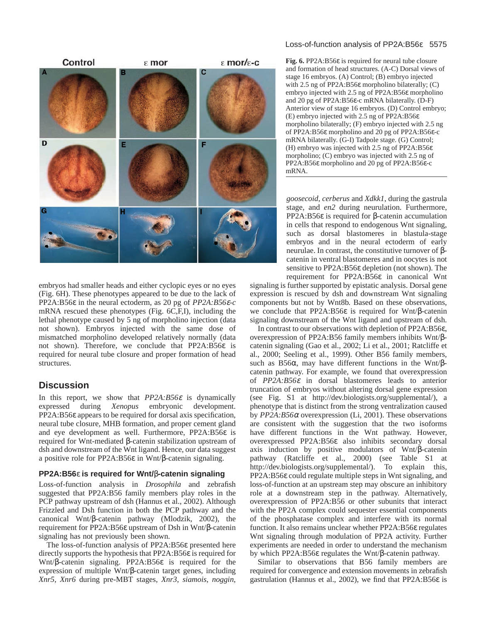

embryos had smaller heads and either cyclopic eyes or no eyes (Fig. 6H). These phenotypes appeared to be due to the lack of PP2A:B56ε in the neural ectoderm, as 20 pg of *PP2A:B56*ε*-c* mRNA rescued these phenotypes (Fig. 6C,F,I), including the lethal phenotype caused by 5 ng of morpholino injection (data not shown). Embryos injected with the same dose of mismatched morpholino developed relatively normally (data not shown). Therefore, we conclude that PP2A:B56ε is required for neural tube closure and proper formation of head structures.

# **Discussion**

In this report, we show that *PP2A:B56*<sup>ε</sup> is dynamically expressed during *Xenopus* embryonic development. PP2A:B56ε appears to be required for dorsal axis specification, neural tube closure, MHB formation, and proper cement gland and eye development as well. Furthermore, PP2A:B56ε is required for Wnt-mediated β-catenin stabilization upstream of dsh and downstream of the Wnt ligand. Hence, our data suggest a positive role for PP2A:B56ε in Wnt/β-catenin signaling.

## **PP2A:B56**ε **is required for Wnt/**β**-catenin signaling**

Loss-of-function analysis in *Drosophila* and zebrafish suggested that PP2A:B56 family members play roles in the PCP pathway upstream of dsh (Hannus et al., 2002). Although Frizzled and Dsh function in both the PCP pathway and the canonical Wnt/β-catenin pathway (Mlodzik, 2002), the requirement for PP2A:B56ε upstream of Dsh in Wnt/β-catenin signaling has not previously been shown.

The loss-of-function analysis of PP2A:B56ε presented here directly supports the hypothesis that PP2A:B56ε is required for Wnt/β-catenin signaling. PP2A:B56ε is required for the expression of multiple Wnt/β-catenin target genes, including *Xnr5*, *Xnr6* during pre-MBT stages, *Xnr3*, *siamois*, *noggin*,

#### Loss-of-function analysis of PP2A:B56ε 5575

**Fig. 6.** PP2A:B56ε is required for neural tube closure and formation of head structures. (A-C) Dorsal views of stage 16 embryos. (A) Control; (B) embryo injected with 2.5 ng of PP2A:B56ε morpholino bilaterally; (C) embryo injected with 2.5 ng of PP2A:B56ε morpholino and 20 pg of PP2A:B56ε-c mRNA bilaterally. (D-F) Anterior view of stage 16 embryos. (D) Control embryo; (E) embryo injected with 2.5 ng of PP2A:B56ε morpholino bilaterally; (F) embryo injected with 2.5 ng of PP2A:B56ε morpholino and 20 pg of PP2A:B56ε-c mRNA bilaterally. (G-I) Tadpole stage. (G) Control; (H) embryo was injected with 2.5 ng of PP2A:B56ε morpholino; (C) embryo was injected with 2.5 ng of PP2A:B56ε morpholino and 20 pg of PP2A:B56ε-c mRNA.

*goosecoid*, *cerberus* and *Xdkk1*, during the gastrula stage, and *en2* during neurulation. Furthermore, PP2A:B56ε is required for β-catenin accumulation in cells that respond to endogenous Wnt signaling, such as dorsal blastomeres in blastula-stage embryos and in the neural ectoderm of early neurulae. In contrast, the constitutive turnover of βcatenin in ventral blastomeres and in oocytes is not sensitive to PP2A:B56ε depletion (not shown). The requirement for PP2A:B56ε in canonical Wnt

signaling is further supported by epistatic analysis. Dorsal gene expression is rescued by dsh and downstream Wnt signaling components but not by Wnt8b. Based on these observations, we conclude that PP2A:B56ε is required for Wnt/β-catenin signaling downstream of the Wnt ligand and upstream of dsh.

In contrast to our observations with depletion of PP2A:B56ε, overexpression of PP2A:B56 family members inhibits Wnt/βcatenin signaling (Gao et al., 2002; Li et al., 2001; Ratcliffe et al., 2000; Seeling et al., 1999). Other B56 family members, such as B56 $\alpha$ , may have different functions in the Wnt/ $\beta$ catenin pathway. For example, we found that overexpression of *PP2A:B56*<sup>ε</sup> in dorsal blastomeres leads to anterior truncation of embryos without altering dorsal gene expression (see Fig. S1 at http://dev.biologists.org/supplemental/), a phenotype that is distinct from the strong ventralization caused by  $PP2A: B56\alpha$  overexpression (Li, 2001). These observations are consistent with the suggestion that the two isoforms have different functions in the Wnt pathway. However, overexpressed PP2A:B56ε also inhibits secondary dorsal axis induction by positive modulators of Wnt/β-catenin pathway (Ratcliffe et al., 2000) (see Table S1 at http://dev.biologists.org/supplemental/). To explain this, PP2A:B56ε could regulate multiple steps in Wnt signaling, and loss-of-function at an upstream step may obscure an inhibitory role at a downstream step in the pathway. Alternatively, overexpression of PP2A:B56 or other subunits that interact with the PP2A complex could sequester essential components of the phosphatase complex and interfere with its normal function. It also remains unclear whether PP2A:B56ε regulates Wnt signaling through modulation of PP2A activity. Further experiments are needed in order to understand the mechanism by which PP2A:B56ε regulates the Wnt/β-catenin pathway.

Similar to observations that B56 family members are required for convergence and extension movements in zebrafish gastrulation (Hannus et al., 2002), we find that PP2A:B56ε is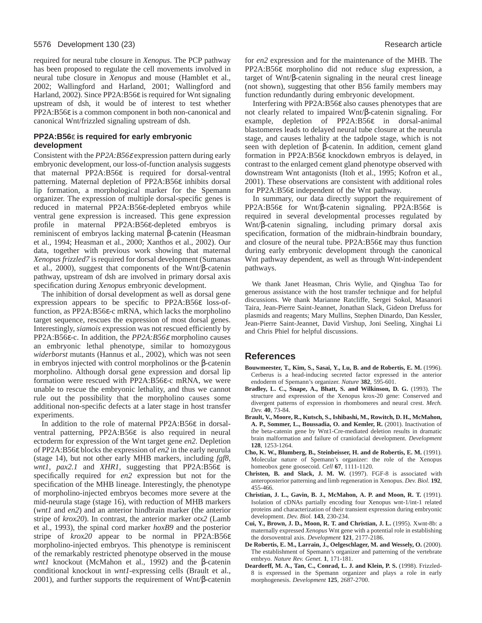required for neural tube closure in *Xenopus*. The PCP pathway has been proposed to regulate the cell movements involved in neural tube closure in *Xenopus* and mouse (Hamblet et al., 2002; Wallingford and Harland, 2001; Wallingford and Harland, 2002). Since PP2A:B56ε is required for Wnt signaling upstream of dsh, it would be of interest to test whether PP2A:B56ε is a common component in both non-canonical and canonical Wnt/frizzled signaling upstream of dsh.

#### **PP2A:B56**ε **is required for early embryonic development**

Consistent with the *PP2A:B56*<sup>ε</sup> expression pattern during early embryonic development, our loss-of-function analysis suggests that maternal PP2A:B56ε is required for dorsal-ventral patterning. Maternal depletion of PP2A:B56ε inhibits dorsal lip formation, a morphological marker for the Spemann organizer. The expression of multiple dorsal-specific genes is reduced in maternal PP2A:B56ε-depleted embryos while ventral gene expression is increased. This gene expression profile in maternal PP2A:B56ε-depleted embryos is reminiscent of embryos lacking maternal β-catenin (Heasman et al., 1994; Heasman et al., 2000; Xanthos et al., 2002). Our data, together with previous work showing that maternal *Xenopus frizzled7* is required for dorsal development (Sumanas et al., 2000), suggest that components of the Wnt/β-catenin pathway, upstream of dsh are involved in primary dorsal axis specification during *Xenopus* embryonic development.

The inhibition of dorsal development as well as dorsal gene expression appears to be specific to PP2A:B56ε loss-offunction, as PP2A:B56ε-c mRNA, which lacks the morpholino target sequence, rescues the expression of most dorsal genes. Interestingly, *siamois* expression was not rescued efficiently by PP2A:B56ε-c. In addition, the *PP2A:B56*<sup>ε</sup> morpholino causes an embryonic lethal phenotype, similar to homozygous *widerborst* mutants (Hannus et al., 2002), which was not seen in embryos injected with control morpholinos or the β-catenin morpholino. Although dorsal gene expression and dorsal lip formation were rescued with PP2A:B56ε-c mRNA, we were unable to rescue the embryonic lethality, and thus we cannot rule out the possibility that the morpholino causes some additional non-specific defects at a later stage in host transfer experiments.

In addition to the role of maternal PP2A:B56ε in dorsalventral patterning, PP2A:B56ε is also required in neural ectoderm for expression of the Wnt target gene *en2.* Depletion of PP2A:B56ε blocks the expression of *en2* in the early neurula (stage 14), but not other early MHB markers, including *fgf8*, *wnt1*, *pax2.1* and *XHR1*, suggesting that PP2A:B56ε is specifically required for *en2* expression but not for the specification of the MHB lineage. Interestingly, the phenotype of morpholino-injected embryos becomes more severe at the mid-neurula stage (stage 16), with reduction of MHB markers (*wnt1* and *en2*) and an anterior hindbrain marker (the anterior stripe of *krox20*). In contrast, the anterior marker *otx2* (Lamb et al., 1993), the spinal cord marker *hoxB9* and the posterior stripe of *krox20* appear to be normal in PP2A:B56ε morpholino-injected embryos. This phenotype is reminiscent of the remarkably restricted phenotype observed in the mouse *wnt1* knockout (McMahon et al., 1992) and the β-catenin conditional knockout in *wnt1*-expressing cells (Brault et al., 2001), and further supports the requirement of Wnt/ $\beta$ -catenin

for *en2* expression and for the maintenance of the MHB. The PP2A:B56ε morpholino did not reduce *slug* expression, a target of Wnt/β-catenin signaling in the neural crest lineage (not shown), suggesting that other B56 family members may function redundantly during embryonic development.

Interfering with PP2A:B56ε also causes phenotypes that are not clearly related to impaired Wnt/β-catenin signaling. For example, depletion of PP2A:B56ε in dorsal-animal blastomeres leads to delayed neural tube closure at the neurula stage, and causes lethality at the tadpole stage, which is not seen with depletion of β-catenin. In addition, cement gland formation in PP2A:B56ε knockdown embryos is delayed, in contrast to the enlarged cement gland phenotype observed with downstream Wnt antagonists (Itoh et al., 1995; Kofron et al., 2001). These observations are consistent with additional roles for PP2A:B56ε independent of the Wnt pathway.

In summary, our data directly support the requirement of PP2A:B56ε for Wnt/β-catenin signaling. PP2A:B56ε is required in several developmental processes regulated by Wnt/β-catenin signaling, including primary dorsal axis specification, formation of the midbrain-hindbrain boundary, and closure of the neural tube. PP2A:B56ε may thus function during early embryonic development through the canonical Wnt pathway dependent, as well as through Wnt-independent pathways.

We thank Janet Heasman, Chris Wylie, and Qinghua Tao for generous assistance with the host transfer technique and for helpful discussions. We thank Marianne Ratcliffe, Sergei Sokol, Masanori Taira, Jean-Pierre Saint-Jeannet, Jonathan Slack, Gideon Drefuss for plasmids and reagents; Mary Mullins, Stephen Dinardo, Dan Kessler, Jean-Pierre Saint-Jeannet, David Virshup, Joni Seeling, Xinghai Li and Chris Phiel for helpful discussions.

## **References**

- **Bouwmeester, T., Kim, S., Sasai, Y., Lu, B. and de Robertis, E. M.** (1996). Cerberus is a head-inducing secreted factor expressed in the anterior endoderm of Spemann's organizer. *Nature* **382**, 595-601.
- **Bradley, L. C., Snape, A., Bhatt, S. and Wilkinson, D. G.** (1993). The structure and expression of the Xenopus krox-20 gene: Conserved and divergent patterns of expression in rhombomeres and neural crest. *Mech. Dev.* **40**, 73-84.
- **Brault, V., Moore, R., Kutsch, S., Ishibashi, M., Rowitch, D. H., McMahon, A. P., Sommer, L., Boussadia, O. and Kemler, R.** (2001). Inactivation of the beta-catenin gene by Wnt1-Cre-mediated deletion results in dramatic brain malformation and failure of craniofacial development. *Development* **128**, 1253-1264.
- **Cho, K. W., Blumberg, B., Steinbeisser, H. and de Robertis, E. M.** (1991). Molecular nature of Spemann's organizer: the role of the Xenopus homeobox gene goosecoid. *Cell* **67**, 1111-1120.
- **Christen, B. and Slack, J. M. W.** (1997). FGF-8 is associated with anteroposterior patterning and limb regeneration in Xenopus. *Dev. Biol.* **192**, 455-466.
- **Christian, J. L., Gavin, B. J., McMahon, A. P. and Moon, R. T.** (1991). Isolation of cDNAs partially encoding four Xenopus wnt-1/int-1 related proteins and characterization of their transient expression during embryonic development. *Dev. Biol.* **143**, 230-234.
- **Cui, Y., Brown, J. D., Moon, R. T. and Christian, J. L.** (1995). Xwnt-8b: a maternally expressed *Xenopus* Wnt gene with a potential role in establishing the dorsoventral axis. *Development* **121**, 2177-2186.
- **De Robertis, E. M., Larrain, J., Oelgeschlager, M. and Wessely, O.** (2000). The establishment of Spemann's organizer and patterning of the vertebrate embryo. *Nature Rev. Genet.* **1**, 171-181.
- **Deardorff, M. A., Tan, C., Conrad, L. J. and Klein, P. S.** (1998). Frizzled-8 is expressed in the Spemann organizer and plays a role in early morphogenesis. *Development* **125**, 2687-2700.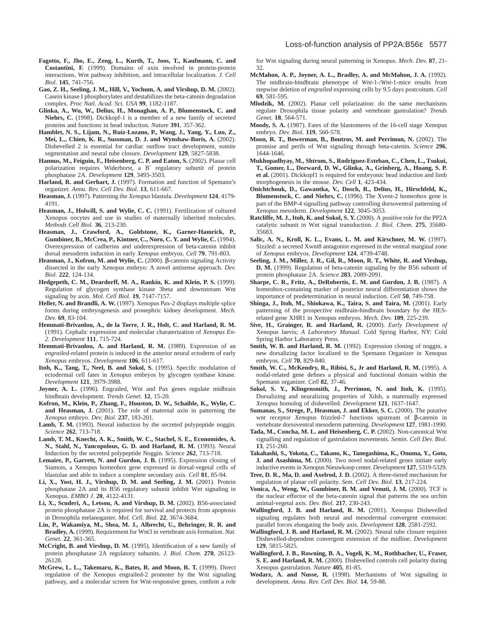- **Fagotto, F., Jho, E., Zeng, L., Kurth, T., Joos, T., Kaufmann, C. and Costantini, F.** (1999). Domains of axin involved in protein-protein interactions, Wnt pathway inhibition, and intracellular localization. *J. Cell Biol*. **145**, 741-756.
- **Gao, Z. H., Seeling, J. M., Hill, V., Yochum, A. and Virshup, D. M.** (2002). Casein kinase I phosphorylates and destabilizes the beta-catenin degradation complex. *Proc Natl. Acad. Sci. USA* **99**, 1182-1187.
- **Glinka, A., Wu, W., Delius, H., Monaghan, A. P., Blumenstock, C. and Niehrs, C.** (1998). Dickkopf-1 is a member of a new family of secreted proteins and functions in head induction. *Nature* **391**, 357-362.
- **Hamblet, N. S., Lijam, N., Ruiz-Lozano, P., Wang, J., Yang, Y., Luo, Z., Mei, L., Chien, K. R., Sussman, D. J. and Wynshaw-Boris, A.** (2002). Dishevelled 2 is essential for cardiac outflow tract development, somite segmentation and neural tube closure. *Development* **129**, 5827-5838.
- **Hannus, M., Feiguin, F., Heisenberg, C. P. and Eaton, S.** (2002). Planar cell polarization requires Widerborst, a B′ regulatory subunit of protein phosphatase 2A. *Development* **129**, 3493-3503.
- Harland, R. and Gerhart, J. (1997). Formation and function of Spemann's organizer. *Annu. Rev. Cell Dev. Biol.* **13**, 611-667.
- **Heasman, J.** (1997). Patterning the *Xenopus* blastula. *Development* **124**, 4179- 4191.
- **Heasman, J., Holwill, S. and Wylie, C. C.** (1991). Fertilization of cultured Xenopus oocytes and use in studies of maternally inherited molecules. *Methods Cell Biol.* **36**, 213-230.
- **Heasman, J., Crawford, A., Goldstone, K., Garner-Hamrick, P., Gumbiner, B., McCrea, P., Kintner, C., Noro, C. Y. and Wylie, C.** (1994). Overexpression of cadherins and underexpression of beta-catenin inhibit dorsal mesoderm induction in early *Xenopus* embryos. *Cell* **79**, 791-803.
- **Heasman, J., Kofron, M. and Wylie, C.** (2000). β-catenin signaling Activity dissected in the early Xenopus embryo: A novel antisense approach. *Dev. Biol.* **222**, 124-134.
- **Hedgepeth, C. M., Deardorff, M. A., Rankin, K. and Klein, P. S.** (1999). Regulation of glycogen synthase kinase 3beta and downstream Wnt signaling by axin. *Mol. Cell Biol.* **19**, 7147-7157.
- **Heller, N. and Brandli, A. W.** (1997). Xenopus Pax-2 displays multiple splice forms during embryogenesis and pronephric kidney development. *Mech. Dev.* **69**, 83-104.
- **Hemmati-Brivanlou, A., de la Torre, J. R., Holt, C. and Harland, R. M.** (1991). Cephalic expression and molecular charaterization of *Xenopus En-2*. *Development* **111**, 715-724.
- **Hemmati-Brivanlou, A. and Harland, R. M.** (1989). Expression of an *engrailed-*related protein is induced in the anterior neural ectoderm of early *Xenopus* embryos. *Development* **106**, 611-617.
- **Itoh, K., Tang, T., Neel, B. and Sokol, S.** (1995). Specific modulation of ectodermal cell fates in *Xenopus* embryos by glycogen synthase kinase. *Development* **121**, 3979-3988.
- Joyner, A. L. (1996). Engrailed, Wnt and Pax genes regulate midbrain hindbrain development. *Trends Genet.* **12**, 15-20.
- **Kofron, M., Klein, P., Zhang, F., Houston, D. W., Schaible, K., Wylie, C. and Heasman, J.** (2001). The role of maternal axin in patterning the *Xenopus* embryo. *Dev. Biol.* **237**, 183-201.
- **Lamb, T. M.** (1993). Neural induction by the secreted polypeptide noggin. *Science* **262**, 713-718.
- **Lamb, T. M., Knecht, A. K., Smith, W. C., Stachel, S. E., Economides, A. N., Stahl, N., Yancopolous, G. D. and Harland, R. M.** (1993). Neural Induction by the secreted polypeptide Noggin. *Science* **262**, 713-718.
- **Lemaire, P., Garrett, N. and Gurdon, J. B.** (1995). Expression cloning of Siamois, a Xenopus homeobox gene expressed in dorsal-vegetal cells of blastulae and able to induce a complete secondary axis. *Cell* **81**, 85-94.
- **Li, X., Yost, H. J., Virshup, D. M. and Seeling, J. M.** (2001). Protein phosphatase 2A and its B56 regulatory subunit inhibit Wnt signaling in Xenopus. *EMBO J.* **20**, 4122-4131.
- **Li, X., Scuderi, A., Letsou, A. and Virshup, D. M.** (2002). B56-associated protein phosphatase 2A is required for survival and protects from apoptosis in Drosophila melanogaster. *Mol. Cell. Biol.* **22**, 3674-3684.
- **Liu, P., Wakamiya, M., Shea, M. J., Albrecht, U., Behringer, R. R. and Bradley, A.** (1999). Requirement for Wnt3 in vertebrate axis formation. *Nat. Genet.* **22**, 361-365.
- **McCright, B. and Virshup, D. M.** (1995). Identification of a new family of protein phosphatase 2A regulatory subunits. *J. Biol. Chem.* **270**, 26123- 26128.
- **McGrew, L. L., Takemaru, K., Bates, R. and Moon, R. T.** (1999). Direct regulation of the Xenopus engrailed-2 promoter by the Wnt signaling pathway, and a molecular screen for Wnt-responsive genes, confirm a role

for Wnt signaling during neural patterning in Xenopus. *Mech. Dev.* **87**, 21- 32.

- **McMahon, A. P., Joyner, A. L., Bradley, A. and McMahon, J. A.** (1992). The midbrain-hindbrain phenotype of *Wnt*-1-/*Wnt*-1-mice results from stepwise deletion of *engrailed* expressing cells by 9.5 days postcoitum. *Cell* **69**, 581-595.
- **Mlodzik, M.** (2002). Planar cell polarization: do the same mechanisms regulate Drosophila tissue polarity and vertebrate gastrulation? *Trends Genet.* **18**, 564-571.
- **Moody, S. A.** (1987). Fates of the blastomeres of the 16-cell stage Xenopus embryo. *Dev. Biol.* **119**, 560-578.
- **Moon, R. T., Bowerman, B., Boutros, M. and Perrimon, N.** (2002). The promise and perils of Wnt signaling through beta-catenin. *Science* **296**, 1644-1646.
- **Mukhopadhyay, M., Shtrom, S., Rodriguez-Esteban, C., Chen, L., Tsukui, T., Gomer, L., Dorward, D. W., Glinka, A., Grinberg, A., Huang, S. P. et al.** (2001). Dickkopf1 is required for embryonic head induction and limb morphogenesis in the mouse. *Dev. Cell* **1**, 423-434.
- **Onichtchouk, D., Gawantka, V., Dosch, R., Delius, H., Hirschfeld, K., Blumenstock, C. and Niehrs, C.** (1996). The Xvent-2 homeobox gene is part of the BMP-4 signalling pathway controlling dorsoventral patterning of *Xenopus* mesoderm. *Development* **122**, 3045-3053.
- **Ratcliffe, M. J., Itoh, K. and Sokol, S. Y.** (2000). A positive role for the PP2A catalytic subunit in Wnt signal transduction. *J. Biol. Chem.* **275**, 35680- 35683.
- **Salic, A. N., Kroll, K. L., Evans, L. M. and Kirschner, M. W.** (1997). Sizzled: a secreted Xwnt8 antagonist expressed in the ventral marginal zone of *Xenopus* embryos. *Development* **124**, 4739-4748.
- **Seeling, J. M., Miller, J. R., Gil, R., Moon, R. T., White, R. and Virshup, D. M.** (1999). Regulation of beta-catenin signaling by the B56 subunit of protein phosphatase 2A. *Science* **283**, 2089-2091.
- **Sharpe, C. R., Fritz, A., DeRobertis, E. M. and Gurdon, J. B.** (1987). A homeobox-containing marker of posterior neural differentiation shows the importance of predetermination in neural induction. *Cell* **50**, 749-758.
- **Shinga, J., Itoh, M., Shiokawa, K., Taira, S. and Taira, M.** (2001). Early patterning of the prospective midbrain-hindbrain boundary by the HESrelated gene XHR1 in Xenopus embryos. *Mech. Dev.* **109**, 225-239.
- **Sive, H., Grainger, R. and Harland, R.** (2000). *Early Development of* Xenopus laevis; *A Laboratory Manual.* Cold Spring Harbor, NY: Cold Spring Harbor Laboratory Press.
- Smith, W. B. and Harland, R. M. (1992). Expression cloning of noggin, a new dorsalizing factor localized to the Spemann Organizer in Xenopus embryos. *Cell* **70**, 829-840.
- **Smith, W. C., McKendry, R., Ribisi, S., Jr and Harland, R. M.** (1995). A nodal-related gene defines a physical and functional domain within the Spemann organizer. *Cell* **82**, 37-46.
- **Sokol, S. Y., Klingensmith, J., Perrimon, N. and Itoh, K.** (1995). Dorsalizing and neuralizing properties of Xdsh, a maternally expressed *Xenopus* homolog of dishevelled. *Development* **121**, 1637-1647.
- **Sumanas, S., Strege, P., Heasman, J. and Ekker, S. C.** (2000). The putative wnt receptor *Xenopu*s frizzled-7 functions upstream of β-catenin in vertebrate dorsoventral mesoderm patterning. *Development* **127**, 1981-1990.
- **Tada, M., Concha, M. L. and Heisenberg, C. P.** (2002). Non-canonical Wnt signalling and regulation of gastrulation movements. *Semin. Cell Dev. Biol.* **13**, 251-260.
- **Takahashi, S., Yokota, C., Takano, K., Tanegashima, K., Onuma, Y., Goto, J. and Asashima, M.** (2000). Two novel nodal-related genes initiate early inductive events in Xenopus Nieuwkoop center. *Development* **127**, 5319-5329.
- **Tree, D. R., Ma, D. and Axelrod, J. D.** (2002). A three-tiered mechanism for regulation of planar cell polarity. *Sem. Cell Dev. Biol.* **13**, 217-224.
- **Vonica, A., Weng, W., Gumbiner, B. M. and Venuti, J. M.** (2000). TCF is the nuclear effector of the beta-catenin signal that patterns the sea urchin animal-vegetal axis. *Dev. Biol.* **217**, 230-243.
- **Wallingford, J. B. and Harland, R. M.** (2001). Xenopus Dishevelled signaling regulates both neural and mesodermal convergent extension: parallel forces elongating the body axis. *Development* **128**, 2581-2592.
- **Wallingford, J. B. and Harland, R. M.** (2002). Neural tube closure requires Dishevelled-dependent convergent extension of the midline. *Development* **129**, 5815-5825.
- **Wallingford, J. B., Rowning, B. A., Vogeli, K. M., Rothbacher, U., Fraser, S. E. and Harland, R. M.** (2000). Dishevelled controls cell polarity during Xenopus gastrulation. *Nature* **405**, 81-85.
- **Wodarz, A. and Nusse, R.** (1998). Mechanisms of Wnt signaling in development. *Annu. Rev. Cell Dev. Biol.* **14**, 59-88.